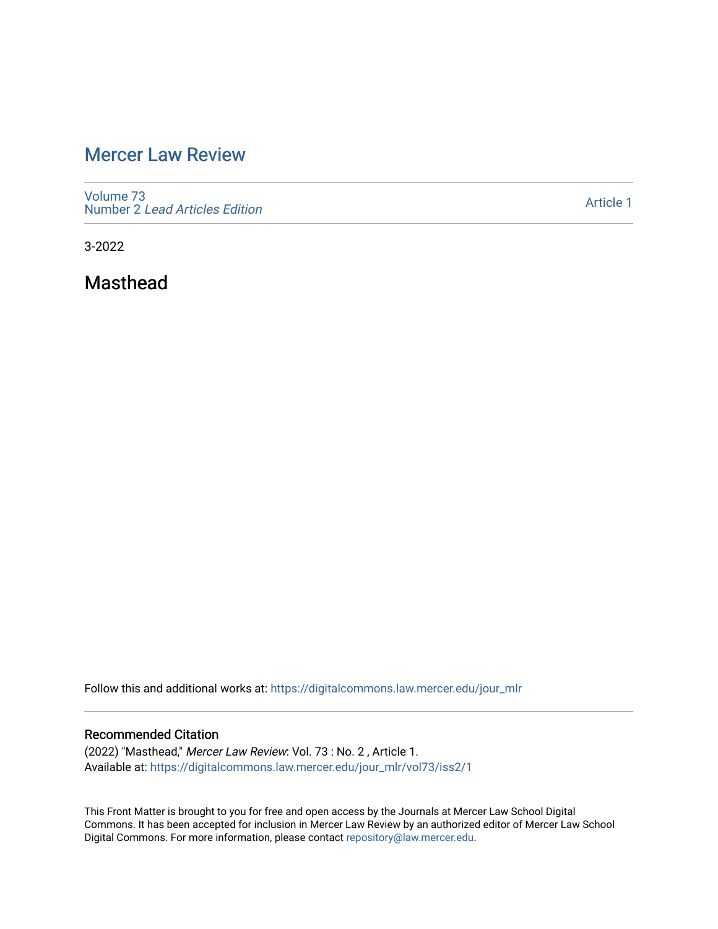# [Mercer Law Review](https://digitalcommons.law.mercer.edu/jour_mlr)

[Volume 73](https://digitalcommons.law.mercer.edu/jour_mlr/vol73) Number 2 [Lead Articles Edition](https://digitalcommons.law.mercer.edu/jour_mlr/vol73/iss2)

[Article 1](https://digitalcommons.law.mercer.edu/jour_mlr/vol73/iss2/1) 

3-2022

Masthead

Follow this and additional works at: [https://digitalcommons.law.mercer.edu/jour\\_mlr](https://digitalcommons.law.mercer.edu/jour_mlr?utm_source=digitalcommons.law.mercer.edu%2Fjour_mlr%2Fvol73%2Fiss2%2F1&utm_medium=PDF&utm_campaign=PDFCoverPages)

## Recommended Citation

(2022) "Masthead," Mercer Law Review: Vol. 73 : No. 2 , Article 1. Available at: [https://digitalcommons.law.mercer.edu/jour\\_mlr/vol73/iss2/1](https://digitalcommons.law.mercer.edu/jour_mlr/vol73/iss2/1?utm_source=digitalcommons.law.mercer.edu%2Fjour_mlr%2Fvol73%2Fiss2%2F1&utm_medium=PDF&utm_campaign=PDFCoverPages)

This Front Matter is brought to you for free and open access by the Journals at Mercer Law School Digital Commons. It has been accepted for inclusion in Mercer Law Review by an authorized editor of Mercer Law School Digital Commons. For more information, please contact [repository@law.mercer.edu](mailto:repository@law.mercer.edu).